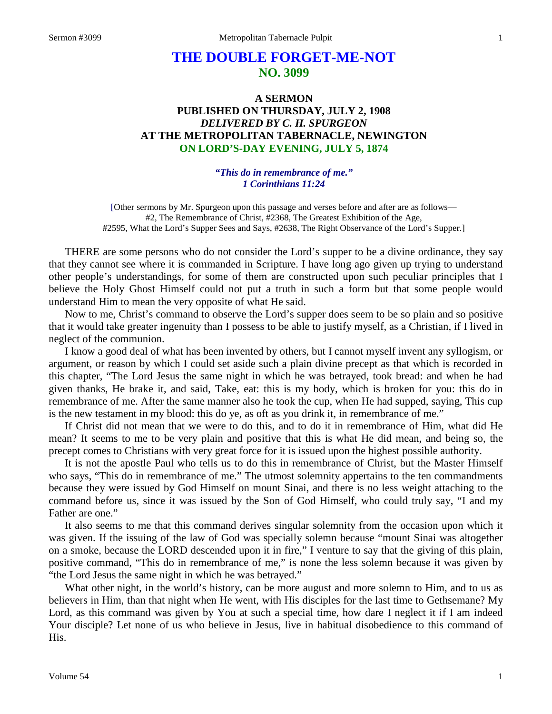# **THE DOUBLE FORGET-ME-NOT NO. 3099**

# **A SERMON PUBLISHED ON THURSDAY, JULY 2, 1908** *DELIVERED BY C. H. SPURGEON* **AT THE METROPOLITAN TABERNACLE, NEWINGTON ON LORD'S-DAY EVENING, JULY 5, 1874**

### *"This do in remembrance of me." 1 Corinthians 11:24*

[Other sermons by Mr. Spurgeon upon this passage and verses before and after are as follows— #2, The Remembrance of Christ, #2368, The Greatest Exhibition of the Age, #2595, What the Lord's Supper Sees and Says, #2638, The Right Observance of the Lord's Supper.]

THERE are some persons who do not consider the Lord's supper to be a divine ordinance, they say that they cannot see where it is commanded in Scripture. I have long ago given up trying to understand other people's understandings, for some of them are constructed upon such peculiar principles that I believe the Holy Ghost Himself could not put a truth in such a form but that some people would understand Him to mean the very opposite of what He said.

Now to me, Christ's command to observe the Lord's supper does seem to be so plain and so positive that it would take greater ingenuity than I possess to be able to justify myself, as a Christian, if I lived in neglect of the communion.

I know a good deal of what has been invented by others, but I cannot myself invent any syllogism, or argument, or reason by which I could set aside such a plain divine precept as that which is recorded in this chapter, "The Lord Jesus the same night in which he was betrayed, took bread: and when he had given thanks, He brake it, and said, Take, eat: this is my body, which is broken for you: this do in remembrance of me. After the same manner also he took the cup, when He had supped, saying, This cup is the new testament in my blood: this do ye, as oft as you drink it, in remembrance of me."

If Christ did not mean that we were to do this, and to do it in remembrance of Him, what did He mean? It seems to me to be very plain and positive that this is what He did mean, and being so, the precept comes to Christians with very great force for it is issued upon the highest possible authority.

It is not the apostle Paul who tells us to do this in remembrance of Christ, but the Master Himself who says, "This do in remembrance of me." The utmost solemnity appertains to the ten commandments because they were issued by God Himself on mount Sinai, and there is no less weight attaching to the command before us, since it was issued by the Son of God Himself, who could truly say, "I and my Father are one."

It also seems to me that this command derives singular solemnity from the occasion upon which it was given. If the issuing of the law of God was specially solemn because "mount Sinai was altogether on a smoke, because the LORD descended upon it in fire," I venture to say that the giving of this plain, positive command, "This do in remembrance of me," is none the less solemn because it was given by "the Lord Jesus the same night in which he was betrayed."

What other night, in the world's history, can be more august and more solemn to Him, and to us as believers in Him, than that night when He went, with His disciples for the last time to Gethsemane? My Lord, as this command was given by You at such a special time, how dare I neglect it if I am indeed Your disciple? Let none of us who believe in Jesus, live in habitual disobedience to this command of His.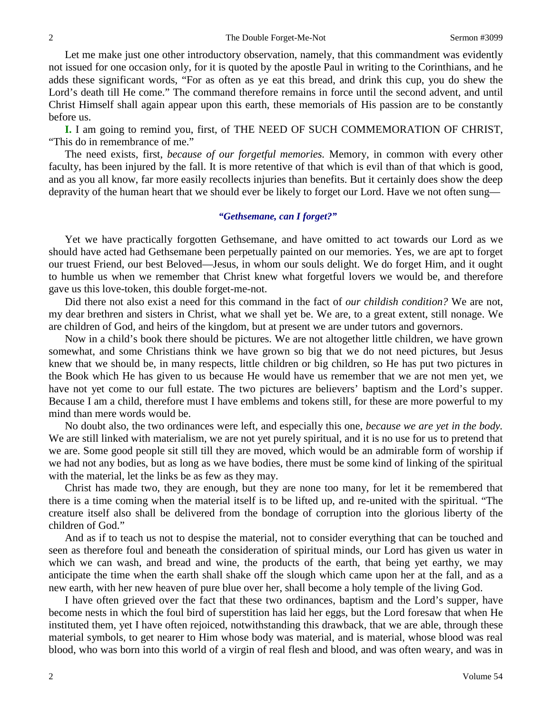Let me make just one other introductory observation, namely, that this commandment was evidently not issued for one occasion only, for it is quoted by the apostle Paul in writing to the Corinthians, and he adds these significant words, "For as often as ye eat this bread, and drink this cup, you do shew the Lord's death till He come." The command therefore remains in force until the second advent, and until Christ Himself shall again appear upon this earth, these memorials of His passion are to be constantly before us.

**I.** I am going to remind you, first, of THE NEED OF SUCH COMMEMORATION OF CHRIST, "This do in remembrance of me."

The need exists, first, *because of our forgetful memories.* Memory, in common with every other faculty, has been injured by the fall. It is more retentive of that which is evil than of that which is good, and as you all know, far more easily recollects injuries than benefits. But it certainly does show the deep depravity of the human heart that we should ever be likely to forget our Lord. Have we not often sung—

### *"Gethsemane, can I forget?"*

Yet we have practically forgotten Gethsemane, and have omitted to act towards our Lord as we should have acted had Gethsemane been perpetually painted on our memories. Yes, we are apt to forget our truest Friend, our best Beloved—Jesus, in whom our souls delight. We do forget Him, and it ought to humble us when we remember that Christ knew what forgetful lovers we would be, and therefore gave us this love-token, this double forget-me-not.

Did there not also exist a need for this command in the fact of *our childish condition?* We are not, my dear brethren and sisters in Christ, what we shall yet be. We are, to a great extent, still nonage. We are children of God, and heirs of the kingdom, but at present we are under tutors and governors.

Now in a child's book there should be pictures. We are not altogether little children, we have grown somewhat, and some Christians think we have grown so big that we do not need pictures, but Jesus knew that we should be, in many respects, little children or big children, so He has put two pictures in the Book which He has given to us because He would have us remember that we are not men yet, we have not yet come to our full estate. The two pictures are believers' baptism and the Lord's supper. Because I am a child, therefore must I have emblems and tokens still, for these are more powerful to my mind than mere words would be.

No doubt also, the two ordinances were left, and especially this one, *because we are yet in the body.*  We are still linked with materialism, we are not yet purely spiritual, and it is no use for us to pretend that we are. Some good people sit still till they are moved, which would be an admirable form of worship if we had not any bodies, but as long as we have bodies, there must be some kind of linking of the spiritual with the material, let the links be as few as they may.

Christ has made two, they are enough, but they are none too many, for let it be remembered that there is a time coming when the material itself is to be lifted up, and re-united with the spiritual. "The creature itself also shall be delivered from the bondage of corruption into the glorious liberty of the children of God."

And as if to teach us not to despise the material, not to consider everything that can be touched and seen as therefore foul and beneath the consideration of spiritual minds, our Lord has given us water in which we can wash, and bread and wine, the products of the earth, that being yet earthy, we may anticipate the time when the earth shall shake off the slough which came upon her at the fall, and as a new earth, with her new heaven of pure blue over her, shall become a holy temple of the living God.

I have often grieved over the fact that these two ordinances, baptism and the Lord's supper, have become nests in which the foul bird of superstition has laid her eggs, but the Lord foresaw that when He instituted them, yet I have often rejoiced, notwithstanding this drawback, that we are able, through these material symbols, to get nearer to Him whose body was material, and is material, whose blood was real blood, who was born into this world of a virgin of real flesh and blood, and was often weary, and was in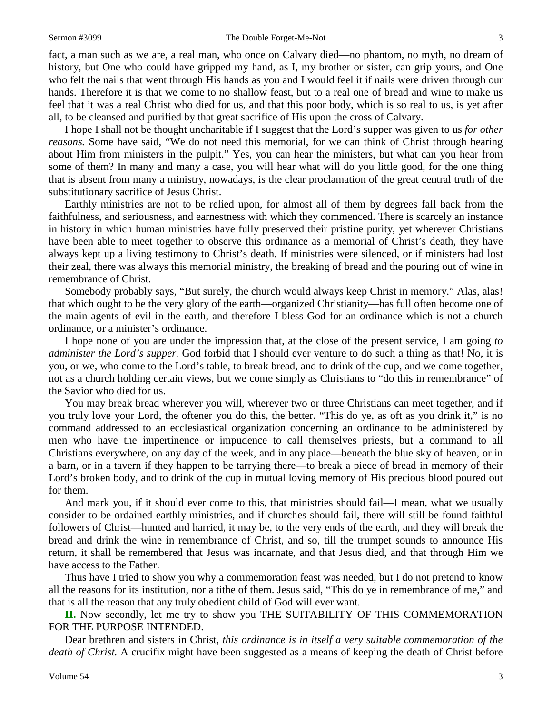#### Sermon #3099 The Double Forget-Me-Not 3

fact, a man such as we are, a real man, who once on Calvary died—no phantom, no myth, no dream of history, but One who could have gripped my hand, as I, my brother or sister, can grip yours, and One who felt the nails that went through His hands as you and I would feel it if nails were driven through our hands. Therefore it is that we come to no shallow feast, but to a real one of bread and wine to make us feel that it was a real Christ who died for us, and that this poor body, which is so real to us, is yet after all, to be cleansed and purified by that great sacrifice of His upon the cross of Calvary.

I hope I shall not be thought uncharitable if I suggest that the Lord's supper was given to us *for other reasons.* Some have said, "We do not need this memorial, for we can think of Christ through hearing about Him from ministers in the pulpit." Yes, you can hear the ministers, but what can you hear from some of them? In many and many a case, you will hear what will do you little good, for the one thing that is absent from many a ministry, nowadays, is the clear proclamation of the great central truth of the substitutionary sacrifice of Jesus Christ.

Earthly ministries are not to be relied upon, for almost all of them by degrees fall back from the faithfulness, and seriousness, and earnestness with which they commenced. There is scarcely an instance in history in which human ministries have fully preserved their pristine purity, yet wherever Christians have been able to meet together to observe this ordinance as a memorial of Christ's death, they have always kept up a living testimony to Christ's death. If ministries were silenced, or if ministers had lost their zeal, there was always this memorial ministry, the breaking of bread and the pouring out of wine in remembrance of Christ.

Somebody probably says, "But surely, the church would always keep Christ in memory." Alas, alas! that which ought to be the very glory of the earth—organized Christianity—has full often become one of the main agents of evil in the earth, and therefore I bless God for an ordinance which is not a church ordinance, or a minister's ordinance.

I hope none of you are under the impression that, at the close of the present service, I am going *to administer the Lord's supper.* God forbid that I should ever venture to do such a thing as that! No, it is you, or we, who come to the Lord's table, to break bread, and to drink of the cup, and we come together, not as a church holding certain views, but we come simply as Christians to "do this in remembrance" of the Savior who died for us.

You may break bread wherever you will, wherever two or three Christians can meet together, and if you truly love your Lord, the oftener you do this, the better. "This do ye, as oft as you drink it," is no command addressed to an ecclesiastical organization concerning an ordinance to be administered by men who have the impertinence or impudence to call themselves priests, but a command to all Christians everywhere, on any day of the week, and in any place—beneath the blue sky of heaven, or in a barn, or in a tavern if they happen to be tarrying there—to break a piece of bread in memory of their Lord's broken body, and to drink of the cup in mutual loving memory of His precious blood poured out for them.

And mark you, if it should ever come to this, that ministries should fail—I mean, what we usually consider to be ordained earthly ministries, and if churches should fail, there will still be found faithful followers of Christ—hunted and harried, it may be, to the very ends of the earth, and they will break the bread and drink the wine in remembrance of Christ, and so, till the trumpet sounds to announce His return, it shall be remembered that Jesus was incarnate, and that Jesus died, and that through Him we have access to the Father.

Thus have I tried to show you why a commemoration feast was needed, but I do not pretend to know all the reasons for its institution, nor a tithe of them. Jesus said, "This do ye in remembrance of me," and that is all the reason that any truly obedient child of God will ever want.

**II.** Now secondly, let me try to show you THE SUITABILITY OF THIS COMMEMORATION FOR THE PURPOSE INTENDED.

Dear brethren and sisters in Christ, *this ordinance is in itself a very suitable commemoration of the death of Christ.* A crucifix might have been suggested as a means of keeping the death of Christ before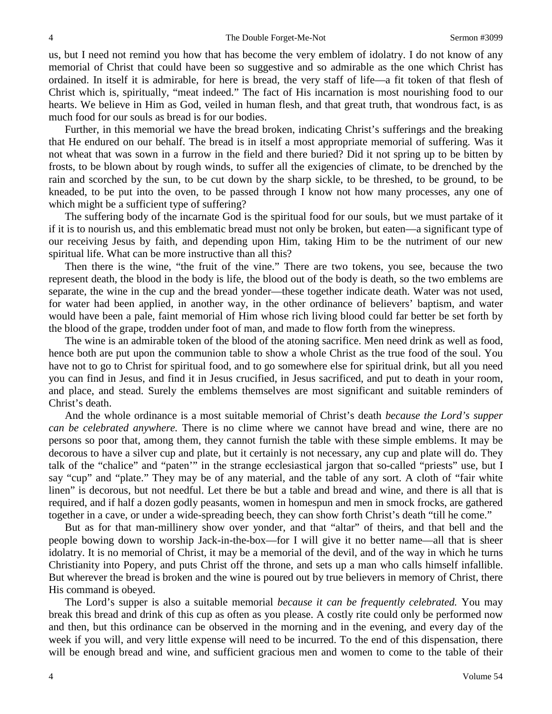us, but I need not remind you how that has become the very emblem of idolatry. I do not know of any memorial of Christ that could have been so suggestive and so admirable as the one which Christ has ordained. In itself it is admirable, for here is bread, the very staff of life—a fit token of that flesh of Christ which is, spiritually, "meat indeed." The fact of His incarnation is most nourishing food to our hearts. We believe in Him as God, veiled in human flesh, and that great truth, that wondrous fact, is as much food for our souls as bread is for our bodies.

Further, in this memorial we have the bread broken, indicating Christ's sufferings and the breaking that He endured on our behalf. The bread is in itself a most appropriate memorial of suffering. Was it not wheat that was sown in a furrow in the field and there buried? Did it not spring up to be bitten by frosts, to be blown about by rough winds, to suffer all the exigencies of climate, to be drenched by the rain and scorched by the sun, to be cut down by the sharp sickle, to be threshed, to be ground, to be kneaded, to be put into the oven, to be passed through I know not how many processes, any one of which might be a sufficient type of suffering?

The suffering body of the incarnate God is the spiritual food for our souls, but we must partake of it if it is to nourish us, and this emblematic bread must not only be broken, but eaten—a significant type of our receiving Jesus by faith, and depending upon Him, taking Him to be the nutriment of our new spiritual life. What can be more instructive than all this?

Then there is the wine, "the fruit of the vine." There are two tokens, you see, because the two represent death, the blood in the body is life, the blood out of the body is death, so the two emblems are separate, the wine in the cup and the bread yonder—these together indicate death. Water was not used, for water had been applied, in another way, in the other ordinance of believers' baptism, and water would have been a pale, faint memorial of Him whose rich living blood could far better be set forth by the blood of the grape, trodden under foot of man, and made to flow forth from the winepress.

The wine is an admirable token of the blood of the atoning sacrifice. Men need drink as well as food, hence both are put upon the communion table to show a whole Christ as the true food of the soul. You have not to go to Christ for spiritual food, and to go somewhere else for spiritual drink, but all you need you can find in Jesus, and find it in Jesus crucified, in Jesus sacrificed, and put to death in your room, and place, and stead. Surely the emblems themselves are most significant and suitable reminders of Christ's death.

And the whole ordinance is a most suitable memorial of Christ's death *because the Lord's supper can be celebrated anywhere.* There is no clime where we cannot have bread and wine, there are no persons so poor that, among them, they cannot furnish the table with these simple emblems. It may be decorous to have a silver cup and plate, but it certainly is not necessary, any cup and plate will do. They talk of the "chalice" and "paten'" in the strange ecclesiastical jargon that so-called "priests" use, but I say "cup" and "plate." They may be of any material, and the table of any sort. A cloth of "fair white linen" is decorous, but not needful. Let there be but a table and bread and wine, and there is all that is required, and if half a dozen godly peasants, women in homespun and men in smock frocks, are gathered together in a cave, or under a wide-spreading beech, they can show forth Christ's death "till he come."

But as for that man-millinery show over yonder, and that "altar" of theirs, and that bell and the people bowing down to worship Jack-in-the-box—for I will give it no better name—all that is sheer idolatry. It is no memorial of Christ, it may be a memorial of the devil, and of the way in which he turns Christianity into Popery, and puts Christ off the throne, and sets up a man who calls himself infallible. But wherever the bread is broken and the wine is poured out by true believers in memory of Christ, there His command is obeyed.

The Lord's supper is also a suitable memorial *because it can be frequently celebrated.* You may break this bread and drink of this cup as often as you please. A costly rite could only be performed now and then, but this ordinance can be observed in the morning and in the evening, and every day of the week if you will, and very little expense will need to be incurred. To the end of this dispensation, there will be enough bread and wine, and sufficient gracious men and women to come to the table of their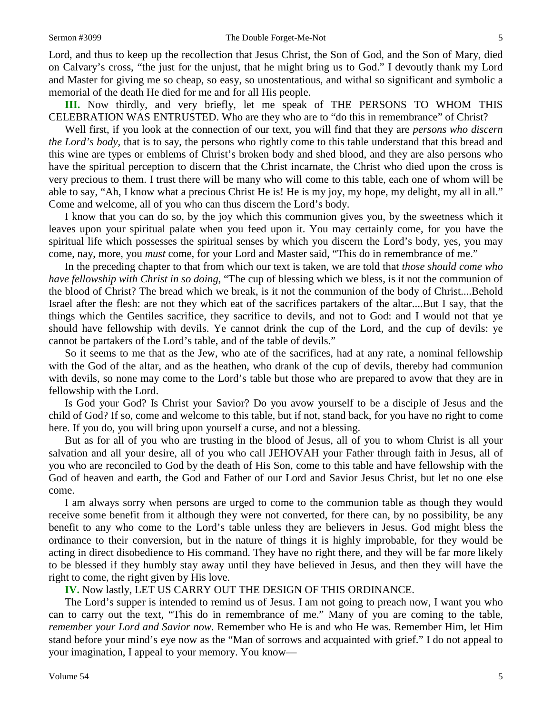Lord, and thus to keep up the recollection that Jesus Christ, the Son of God, and the Son of Mary, died on Calvary's cross, "the just for the unjust, that he might bring us to God." I devoutly thank my Lord and Master for giving me so cheap, so easy, so unostentatious, and withal so significant and symbolic a memorial of the death He died for me and for all His people.

**III.** Now thirdly, and very briefly, let me speak of THE PERSONS TO WHOM THIS CELEBRATION WAS ENTRUSTED. Who are they who are to "do this in remembrance" of Christ?

Well first, if you look at the connection of our text, you will find that they are *persons who discern the Lord's body,* that is to say, the persons who rightly come to this table understand that this bread and this wine are types or emblems of Christ's broken body and shed blood, and they are also persons who have the spiritual perception to discern that the Christ incarnate, the Christ who died upon the cross is very precious to them. I trust there will be many who will come to this table, each one of whom will be able to say, "Ah, I know what a precious Christ He is! He is my joy, my hope, my delight, my all in all." Come and welcome, all of you who can thus discern the Lord's body.

I know that you can do so, by the joy which this communion gives you, by the sweetness which it leaves upon your spiritual palate when you feed upon it. You may certainly come, for you have the spiritual life which possesses the spiritual senses by which you discern the Lord's body, yes, you may come, nay, more, you *must* come, for your Lord and Master said, "This do in remembrance of me."

In the preceding chapter to that from which our text is taken, we are told that *those should come who have fellowship with Christ in so doing,* "The cup of blessing which we bless, is it not the communion of the blood of Christ? The bread which we break, is it not the communion of the body of Christ....Behold Israel after the flesh: are not they which eat of the sacrifices partakers of the altar....But I say, that the things which the Gentiles sacrifice, they sacrifice to devils, and not to God: and I would not that ye should have fellowship with devils. Ye cannot drink the cup of the Lord, and the cup of devils: ye cannot be partakers of the Lord's table, and of the table of devils."

So it seems to me that as the Jew, who ate of the sacrifices, had at any rate, a nominal fellowship with the God of the altar, and as the heathen, who drank of the cup of devils, thereby had communion with devils, so none may come to the Lord's table but those who are prepared to avow that they are in fellowship with the Lord.

Is God your God? Is Christ your Savior? Do you avow yourself to be a disciple of Jesus and the child of God? If so, come and welcome to this table, but if not, stand back, for you have no right to come here. If you do, you will bring upon yourself a curse, and not a blessing.

But as for all of you who are trusting in the blood of Jesus, all of you to whom Christ is all your salvation and all your desire, all of you who call JEHOVAH your Father through faith in Jesus, all of you who are reconciled to God by the death of His Son, come to this table and have fellowship with the God of heaven and earth, the God and Father of our Lord and Savior Jesus Christ, but let no one else come.

I am always sorry when persons are urged to come to the communion table as though they would receive some benefit from it although they were not converted, for there can, by no possibility, be any benefit to any who come to the Lord's table unless they are believers in Jesus. God might bless the ordinance to their conversion, but in the nature of things it is highly improbable, for they would be acting in direct disobedience to His command. They have no right there, and they will be far more likely to be blessed if they humbly stay away until they have believed in Jesus, and then they will have the right to come, the right given by His love.

**IV.** Now lastly, LET US CARRY OUT THE DESIGN OF THIS ORDINANCE.

The Lord's supper is intended to remind us of Jesus. I am not going to preach now, I want you who can to carry out the text, "This do in remembrance of me." Many of you are coming to the table, *remember your Lord and Savior now.* Remember who He is and who He was. Remember Him, let Him stand before your mind's eye now as the "Man of sorrows and acquainted with grief." I do not appeal to your imagination, I appeal to your memory. You know—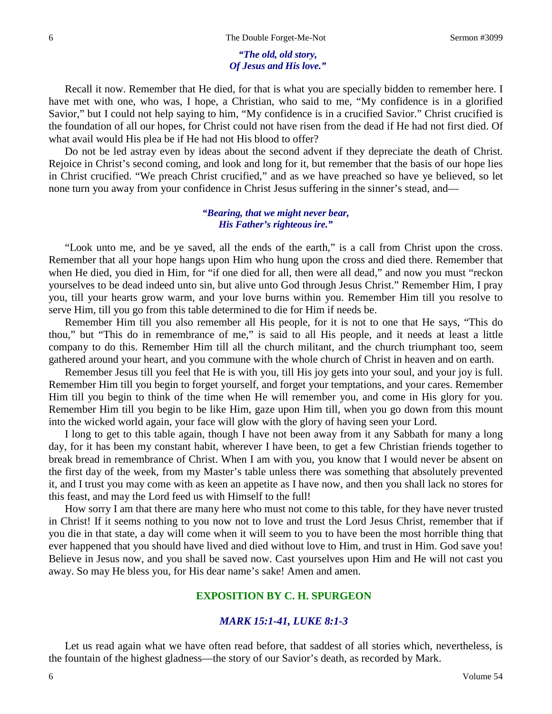### *"The old, old story, Of Jesus and His love."*

Recall it now. Remember that He died, for that is what you are specially bidden to remember here. I have met with one, who was, I hope, a Christian, who said to me, "My confidence is in a glorified Savior," but I could not help saying to him, "My confidence is in a crucified Savior." Christ crucified is the foundation of all our hopes, for Christ could not have risen from the dead if He had not first died. Of what avail would His plea be if He had not His blood to offer?

Do not be led astray even by ideas about the second advent if they depreciate the death of Christ. Rejoice in Christ's second coming, and look and long for it, but remember that the basis of our hope lies in Christ crucified. "We preach Christ crucified," and as we have preached so have ye believed, so let none turn you away from your confidence in Christ Jesus suffering in the sinner's stead, and—

### *"Bearing, that we might never bear, His Father's righteous ire."*

"Look unto me, and be ye saved, all the ends of the earth," is a call from Christ upon the cross. Remember that all your hope hangs upon Him who hung upon the cross and died there. Remember that when He died, you died in Him, for "if one died for all, then were all dead," and now you must "reckon yourselves to be dead indeed unto sin, but alive unto God through Jesus Christ." Remember Him, I pray you, till your hearts grow warm, and your love burns within you. Remember Him till you resolve to serve Him, till you go from this table determined to die for Him if needs be.

Remember Him till you also remember all His people, for it is not to one that He says, "This do thou," but "This do in remembrance of me," is said to all His people, and it needs at least a little company to do this. Remember Him till all the church militant, and the church triumphant too, seem gathered around your heart, and you commune with the whole church of Christ in heaven and on earth.

Remember Jesus till you feel that He is with you, till His joy gets into your soul, and your joy is full. Remember Him till you begin to forget yourself, and forget your temptations, and your cares. Remember Him till you begin to think of the time when He will remember you, and come in His glory for you. Remember Him till you begin to be like Him, gaze upon Him till, when you go down from this mount into the wicked world again, your face will glow with the glory of having seen your Lord.

I long to get to this table again, though I have not been away from it any Sabbath for many a long day, for it has been my constant habit, wherever I have been, to get a few Christian friends together to break bread in remembrance of Christ. When I am with you, you know that I would never be absent on the first day of the week, from my Master's table unless there was something that absolutely prevented it, and I trust you may come with as keen an appetite as I have now, and then you shall lack no stores for this feast, and may the Lord feed us with Himself to the full!

How sorry I am that there are many here who must not come to this table, for they have never trusted in Christ! If it seems nothing to you now not to love and trust the Lord Jesus Christ, remember that if you die in that state, a day will come when it will seem to you to have been the most horrible thing that ever happened that you should have lived and died without love to Him, and trust in Him. God save you! Believe in Jesus now, and you shall be saved now. Cast yourselves upon Him and He will not cast you away. So may He bless you, for His dear name's sake! Amen and amen.

### **EXPOSITION BY C. H. SPURGEON**

### *MARK 15:1-41, LUKE 8:1-3*

Let us read again what we have often read before, that saddest of all stories which, nevertheless, is the fountain of the highest gladness—the story of our Savior's death, as recorded by Mark.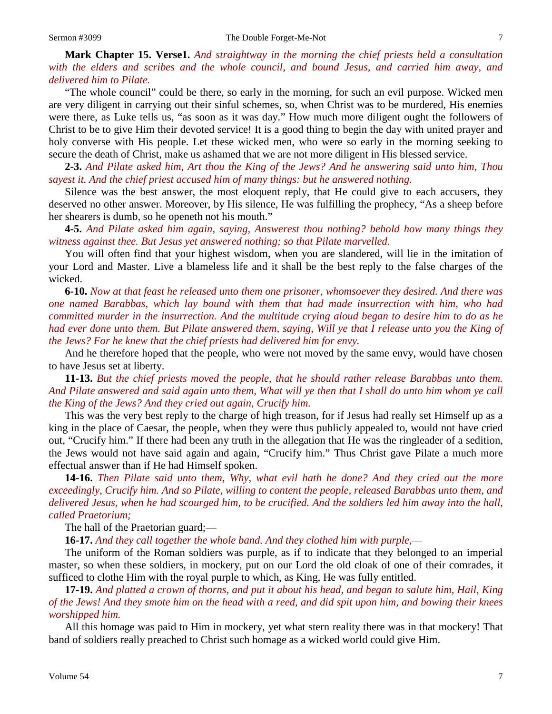**Mark Chapter 15. Verse1.** *And straightway in the morning the chief priests held a consultation with the elders and scribes and the whole council, and bound Jesus, and carried him away, and delivered him to Pilate.*

"The whole council" could be there, so early in the morning, for such an evil purpose. Wicked men are very diligent in carrying out their sinful schemes, so, when Christ was to be murdered, His enemies were there, as Luke tells us, "as soon as it was day." How much more diligent ought the followers of Christ to be to give Him their devoted service! It is a good thing to begin the day with united prayer and holy converse with His people. Let these wicked men, who were so early in the morning seeking to secure the death of Christ, make us ashamed that we are not more diligent in His blessed service.

**2-3.** *And Pilate asked him, Art thou the King of the Jews? And he answering said unto him, Thou sayest it. And the chief priest accused him of many things: but he answered nothing.*

Silence was the best answer, the most eloquent reply, that He could give to each accusers, they deserved no other answer. Moreover, by His silence, He was fulfilling the prophecy, "As a sheep before her shearers is dumb, so he openeth not his mouth."

**4-5.** *And Pilate asked him again, saying, Answerest thou nothing? behold how many things they witness against thee. But Jesus yet answered nothing; so that Pilate marvelled.*

You will often find that your highest wisdom, when you are slandered, will lie in the imitation of your Lord and Master. Live a blameless life and it shall be the best reply to the false charges of the wicked.

**6-10.** *Now at that feast he released unto them one prisoner, whomsoever they desired. And there was one named Barabbas, which lay bound with them that had made insurrection with him, who had committed murder in the insurrection. And the multitude crying aloud began to desire him to do as he had ever done unto them. But Pilate answered them, saying, Will ye that I release unto you the King of the Jews? For he knew that the chief priests had delivered him for envy.*

And he therefore hoped that the people, who were not moved by the same envy, would have chosen to have Jesus set at liberty.

**11-13.** *But the chief priests moved the people, that he should rather release Barabbas unto them. And Pilate answered and said again unto them, What will ye then that I shall do unto him whom ye call the King of the Jews? And they cried out again, Crucify him.*

This was the very best reply to the charge of high treason, for if Jesus had really set Himself up as a king in the place of Caesar, the people, when they were thus publicly appealed to, would not have cried out, "Crucify him." If there had been any truth in the allegation that He was the ringleader of a sedition, the Jews would not have said again and again, "Crucify him." Thus Christ gave Pilate a much more effectual answer than if He had Himself spoken.

**14-16.** *Then Pilate said unto them, Why, what evil hath he done? And they cried out the more exceedingly, Crucify him. And so Pilate, willing to content the people, released Barabbas unto them, and delivered Jesus, when he had scourged him, to be crucified. And the soldiers led him away into the hall, called Praetorium;*

The hall of the Praetorian guard;—

**16-17.** *And they call together the whole band. And they clothed him with purple,—*

The uniform of the Roman soldiers was purple, as if to indicate that they belonged to an imperial master, so when these soldiers, in mockery, put on our Lord the old cloak of one of their comrades, it sufficed to clothe Him with the royal purple to which, as King, He was fully entitled.

**17-19.** *And platted a crown of thorns, and put it about his head, and began to salute him, Hail, King of the Jews! And they smote him on the head with a reed, and did spit upon him, and bowing their knees worshipped him.*

All this homage was paid to Him in mockery, yet what stern reality there was in that mockery! That band of soldiers really preached to Christ such homage as a wicked world could give Him.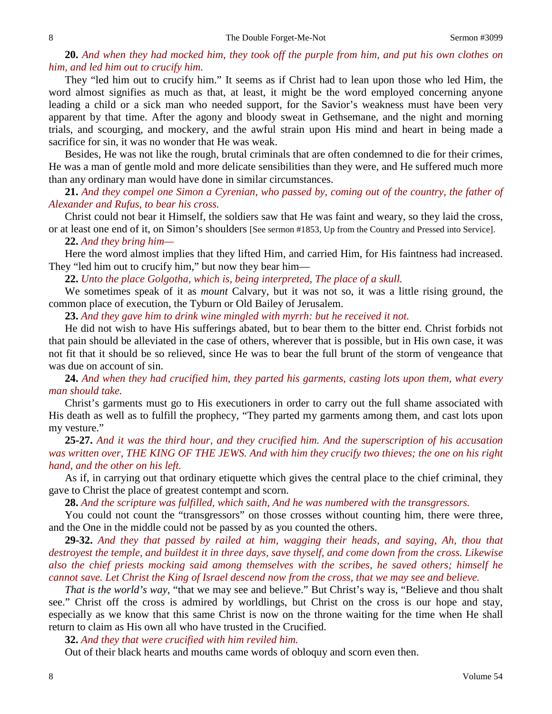# **20.** *And when they had mocked him, they took off the purple from him, and put his own clothes on him, and led him out to crucify him.*

They "led him out to crucify him." It seems as if Christ had to lean upon those who led Him, the word almost signifies as much as that, at least, it might be the word employed concerning anyone leading a child or a sick man who needed support, for the Savior's weakness must have been very apparent by that time. After the agony and bloody sweat in Gethsemane, and the night and morning trials, and scourging, and mockery, and the awful strain upon His mind and heart in being made a sacrifice for sin, it was no wonder that He was weak.

Besides, He was not like the rough, brutal criminals that are often condemned to die for their crimes, He was a man of gentle mold and more delicate sensibilities than they were, and He suffered much more than any ordinary man would have done in similar circumstances.

**21.** *And they compel one Simon a Cyrenian, who passed by, coming out of the country, the father of Alexander and Rufus, to bear his cross.*

Christ could not bear it Himself, the soldiers saw that He was faint and weary, so they laid the cross, or at least one end of it, on Simon's shoulders [See sermon #1853, Up from the Country and Pressed into Service].

## **22.** *And they bring him—*

Here the word almost implies that they lifted Him, and carried Him, for His faintness had increased. They "led him out to crucify him," but now they bear him—

**22.** *Unto the place Golgotha, which is, being interpreted, The place of a skull.*

We sometimes speak of it as *mount* Calvary, but it was not so, it was a little rising ground, the common place of execution, the Tyburn or Old Bailey of Jerusalem.

**23.** *And they gave him to drink wine mingled with myrrh: but he received it not.*

He did not wish to have His sufferings abated, but to bear them to the bitter end. Christ forbids not that pain should be alleviated in the case of others, wherever that is possible, but in His own case, it was not fit that it should be so relieved, since He was to bear the full brunt of the storm of vengeance that was due on account of sin.

**24.** *And when they had crucified him, they parted his garments, casting lots upon them, what every man should take.* 

Christ's garments must go to His executioners in order to carry out the full shame associated with His death as well as to fulfill the prophecy, "They parted my garments among them, and cast lots upon my vesture."

**25-27.** *And it was the third hour, and they crucified him. And the superscription of his accusation was written over, THE KING OF THE JEWS. And with him they crucify two thieves; the one on his right hand, and the other on his left.*

As if, in carrying out that ordinary etiquette which gives the central place to the chief criminal, they gave to Christ the place of greatest contempt and scorn.

**28.** *And the scripture was fulfilled, which saith, And he was numbered with the transgressors.*

You could not count the "transgressors" on those crosses without counting him, there were three, and the One in the middle could not be passed by as you counted the others.

**29-32.** *And they that passed by railed at him, wagging their heads, and saying, Ah, thou that destroyest the temple, and buildest it in three days, save thyself, and come down from the cross. Likewise also the chief priests mocking said among themselves with the scribes, he saved others; himself he cannot save. Let Christ the King of Israel descend now from the cross, that we may see and believe.*

*That is the world's way,* "that we may see and believe." But Christ's way is, "Believe and thou shalt see." Christ off the cross is admired by worldlings, but Christ on the cross is our hope and stay, especially as we know that this same Christ is now on the throne waiting for the time when He shall return to claim as His own all who have trusted in the Crucified.

**32.** *And they that were crucified with him reviled him.*

Out of their black hearts and mouths came words of obloquy and scorn even then.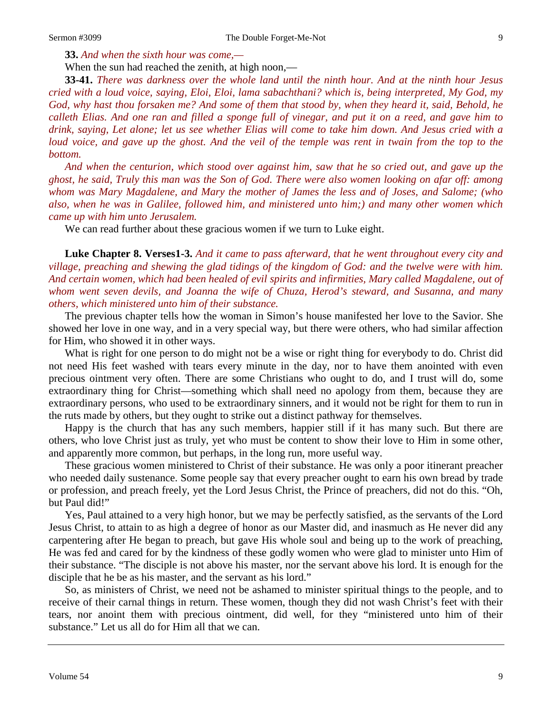**33.** *And when the sixth hour was come,—*

When the sun had reached the zenith, at high noon,—

**33-41.** *There was darkness over the whole land until the ninth hour. And at the ninth hour Jesus cried with a loud voice, saying, Eloi, Eloi, lama sabachthani? which is, being interpreted, My God, my God, why hast thou forsaken me? And some of them that stood by, when they heard it, said, Behold, he calleth Elias. And one ran and filled a sponge full of vinegar, and put it on a reed, and gave him to drink, saying, Let alone; let us see whether Elias will come to take him down. And Jesus cried with a loud voice, and gave up the ghost. And the veil of the temple was rent in twain from the top to the bottom.* 

*And when the centurion, which stood over against him, saw that he so cried out, and gave up the ghost, he said, Truly this man was the Son of God. There were also women looking on afar off: among whom was Mary Magdalene, and Mary the mother of James the less and of Joses, and Salome; (who also, when he was in Galilee, followed him, and ministered unto him;) and many other women which came up with him unto Jerusalem.*

We can read further about these gracious women if we turn to Luke eight.

**Luke Chapter 8. Verses1-3.** *And it came to pass afterward, that he went throughout every city and village, preaching and shewing the glad tidings of the kingdom of God: and the twelve were with him. And certain women, which had been healed of evil spirits and infirmities, Mary called Magdalene, out of whom went seven devils, and Joanna the wife of Chuza, Herod's steward, and Susanna, and many others, which ministered unto him of their substance.*

The previous chapter tells how the woman in Simon's house manifested her love to the Savior. She showed her love in one way, and in a very special way, but there were others, who had similar affection for Him, who showed it in other ways.

What is right for one person to do might not be a wise or right thing for everybody to do. Christ did not need His feet washed with tears every minute in the day, nor to have them anointed with even precious ointment very often. There are some Christians who ought to do, and I trust will do, some extraordinary thing for Christ—something which shall need no apology from them, because they are extraordinary persons, who used to be extraordinary sinners, and it would not be right for them to run in the ruts made by others, but they ought to strike out a distinct pathway for themselves.

Happy is the church that has any such members, happier still if it has many such. But there are others, who love Christ just as truly, yet who must be content to show their love to Him in some other, and apparently more common, but perhaps, in the long run, more useful way.

These gracious women ministered to Christ of their substance. He was only a poor itinerant preacher who needed daily sustenance. Some people say that every preacher ought to earn his own bread by trade or profession, and preach freely, yet the Lord Jesus Christ, the Prince of preachers, did not do this. "Oh, but Paul did!"

Yes, Paul attained to a very high honor, but we may be perfectly satisfied, as the servants of the Lord Jesus Christ, to attain to as high a degree of honor as our Master did, and inasmuch as He never did any carpentering after He began to preach, but gave His whole soul and being up to the work of preaching, He was fed and cared for by the kindness of these godly women who were glad to minister unto Him of their substance. "The disciple is not above his master, nor the servant above his lord. It is enough for the disciple that he be as his master, and the servant as his lord."

So, as ministers of Christ, we need not be ashamed to minister spiritual things to the people, and to receive of their carnal things in return. These women, though they did not wash Christ's feet with their tears, nor anoint them with precious ointment, did well, for they "ministered unto him of their substance." Let us all do for Him all that we can.